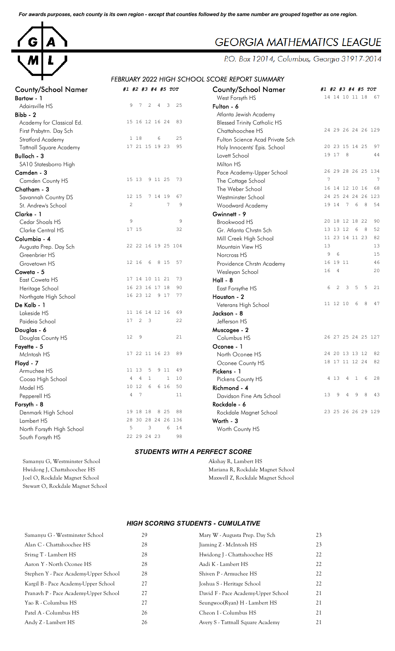*For awards purposes, each county is its own region - except that counties followed by the same number are grouped together as one region.*



# **GEORGIA MATHEMATICS LEAGUE**

P.O. Box 12014, Columbus, Georgia 31917-2014

## *FEBRUARY 2022 HIGH SCHOOL SCORE REPORT SUMMARY*

| <b>County/School Namer</b>     | #1 #2 #3 #4 #5 TOT                       | <b>County/School Namer</b>         | #1 #2 #3 #4 #5 TOT                                 |
|--------------------------------|------------------------------------------|------------------------------------|----------------------------------------------------|
| Bartow - 1                     |                                          | West Forsyth HS                    | 14 14 10 11 18 67                                  |
| Adairsville HS                 | 9<br>7<br>3<br>25<br>2<br>$\overline{4}$ | Fulton - 6                         |                                                    |
| Bibb - 2                       |                                          | Atlanta Jewish Academy             |                                                    |
| Academy for Classical Ed.      | 15 16 12 16 24<br>-83                    | <b>Blessed Trinity Catholic HS</b> |                                                    |
| First Prsbytrn. Day Sch        |                                          | Chattahoochee HS                   | 24 29 26 24 26 129                                 |
| Stratford Academy              | 1 18<br>25<br>6                          | Fulton Science Acad Private Sch    |                                                    |
| <b>Tattnall Square Academy</b> | 17 21 15 19 23<br>95                     | Holy Innocents' Epis. School       | 20 23 15 14 25<br>97                               |
| Bulloch - 3                    |                                          | Lovett School                      | 19 17 8<br>44                                      |
| SA10 Statesborro High          |                                          | Milton HS                          |                                                    |
| Camden - 3                     |                                          | Pace Academy-Upper School          | 26 29 28 26 25 134                                 |
| Camden County HS               | 9 11 25<br>15 13<br>73                   | The Cottage School                 | $\overline{7}$                                     |
| Chatham - 3                    |                                          | The Weber School                   | 16 14 12 10 16 68                                  |
| Savannah Country DS            | 12 15<br>7 14 19<br>67                   | Westminster School                 | 24 25 24 24 26 123                                 |
| St. Andrew's School            | $\overline{2}$<br>$7\phantom{.0}$<br>9   | Woodward Academy                   | 19 14 7 6<br>8<br>54                               |
| Clarke - 1                     |                                          | Gwinnett - 9                       |                                                    |
| Cedar Shoals HS                | 9<br>9                                   | Brookwood HS                       | 20 18 12 18 22<br>90                               |
| Clarke Central HS              | 17 15<br>32                              | Gr. Atlanta Chrstn Sch             | 13 13 12<br>52<br>6<br>8                           |
| Columbia - 4                   |                                          | Mill Creek High School             | 82<br>11 23 14 11 23                               |
| Augusta Prep. Day Sch          | 22 22 16 19 25 104                       | Mountain View HS                   | 13<br>13                                           |
| Greenbrier HS                  |                                          | Norcross HS                        | 9<br>$6\phantom{1}6$<br>15                         |
| Grovetown HS                   | 12 16<br>- 6<br>8 15<br>57               | Providence Chrstn Academy          | 46<br>16 19 11                                     |
| Coweta - 5                     |                                          | Wesleyan School                    | 20<br>16 4                                         |
| East Coweta HS                 | 17 14 10 11 21<br>73                     | $Hall - 8$                         |                                                    |
| Heritage School                | 16 23 16 17 18<br>90                     | East Forsythe HS                   | 3<br>6<br>2<br>5<br>5<br>21                        |
| Northgate High School          | 16 23 12 9 17<br>77                      | Houston - 2                        |                                                    |
| De Kalb - 1                    |                                          | Veterans High School               | 11 12 10<br>6<br>8<br>47                           |
| Lakeside HS                    | 69<br>11 16 14 12 16                     | Jackson - 8                        |                                                    |
| Paideia School                 | 17<br>2<br>$\overline{\mathbf{3}}$<br>22 | Jefferson HS                       |                                                    |
| Douglas - 6                    |                                          | Muscogee - 2                       |                                                    |
| Douglas County HS              | 12<br>- 9<br>21                          | Columbus HS                        | 26 27 25 24 25 127                                 |
| Fayette - 5                    |                                          | Oconee - 1                         |                                                    |
| McIntosh HS                    | 17 22 11 16 23<br>89                     | North Oconee HS                    | 24 20 13 13 12<br>-82                              |
| Floyd - 7                      |                                          | Oconee County HS                   | 18 17 11 12 24 82                                  |
| Armuchee HS                    | 11 13<br>5<br>9 1 1<br>-49               | Pickens - 1                        |                                                    |
| Coosa High School              | $\mathbf{1}$<br>1<br>10<br>4<br>4        | Pickens County HS                  | 28<br>4 1 3<br>$\overline{4}$<br>$\mathbf{1}$<br>6 |
| Model HS                       | 10 12<br>50<br>6<br>6 16                 | Richmond - 4                       |                                                    |
| Pepperell HS                   | 7<br>4<br>11                             | Davidson Fine Arts School          | 9<br>-9<br>8<br>43<br>13<br>4                      |
| Forsyth - 8                    |                                          | Rockdale - 6                       |                                                    |
| Denmark High School            | 19 18 18<br>8 2 5<br>88                  | Rockdale Magnet School             | 23 25 26 26 29 129                                 |
| Lambert HS                     | 28 30 28 24 26 136                       | Worth - 3                          |                                                    |
| North Forsyth High School      | 5<br>3<br>6<br>14                        | Worth County HS                    |                                                    |
| South Forsyth HS               | 22 29 24 23<br>98                        |                                    |                                                    |

Samanyu G, Westminster School Akshay R, Lambert HS Stewart O, Rockdale Magnet School

| Milton HS                 |    |       |             |             |                  |              |
|---------------------------|----|-------|-------------|-------------|------------------|--------------|
| Pace Academy-Upper School | 26 |       |             |             | 29 28 26 25 1    |              |
| The Cottage School        | 7  |       |             |             |                  |              |
| The Weber School          | 16 |       |             | 14 12 10 16 |                  |              |
| Westminster School        | 24 |       |             |             | 25 24 24 26      | $\mathbf{1}$ |
| Woodward Academy          | 19 | 14    | $7^{\circ}$ | 6           | 8                |              |
| Gwinnett - 9              |    |       |             |             |                  |              |
| <b>Brookwood HS</b>       | 20 |       |             | 18 12 18 22 |                  |              |
| Gr. Atlanta Chrstn Sch    | 13 | 13    | 12          | 6           | 8                |              |
| Mill Creek High School    | 11 |       |             | 23 14 11 23 |                  |              |
| Mountain View HS          | 13 |       |             |             |                  |              |
| Norcross HS               | 9  | 6     |             |             |                  |              |
| Providence Chrstn Academy | 16 | 19 11 |             |             |                  |              |
| Wesleyan School           | 16 | 4     |             |             |                  |              |
| $Hall - 8$                |    |       |             |             |                  |              |
| East Forsythe HS          | 6  | 2     | 3           | 5           | 5                |              |
| Houston - 2               |    |       |             |             |                  |              |
| Veterans High School      | 11 | 12 10 |             | 6           | 8                |              |
| Jackson - 8               |    |       |             |             |                  |              |
| Jefferson HS              |    |       |             |             |                  |              |
| Muscogee - 2              |    |       |             |             |                  |              |
| Columbus HS               |    |       |             |             | 26 27 25 24 25 1 |              |
| Oconee - 1                |    |       |             |             |                  |              |
| North Oconee HS           | 24 |       |             | 20 13 13 12 |                  |              |
| Oconee County HS          | 18 |       |             | 17 11 12 24 |                  |              |
| Pickens - 1               |    |       |             |             |                  |              |
| Pickens County HS         | 4  | 13    | 4           | 1           | 6                |              |
| Richmond - 4              |    |       |             |             |                  |              |
| Davidson Fine Arts School | 13 | 9     | 4           | 9           | 8                |              |
| Rockdale - 6              |    |       |             |             |                  |              |
| Rockdale Magnet School    |    |       |             |             | 23 25 26 26 29 1 |              |
| Worth - 3                 |    |       |             |             |                  |              |
| Worth County HS           |    |       |             |             |                  |              |

#### *STUDENTS WITH A PERFECT SCORE*

Hwidong J, Chattahoochee HS Mariana R, Rockdale Magnet School Joel O, Rockdale Magnet School Maxwell Z, Rockdale Magnet School

#### *HIGH SCORING STUDENTS - CUMULATIVE*

| Samanyu G - Westminster School        | 29 | Mary W - Augusta Prep. Day Sch      | 23 |
|---------------------------------------|----|-------------------------------------|----|
| Alan C - Chattahoochee HS             | 28 | Jiaming Z - McIntosh HS             | 23 |
| Srirag T - Lambert HS                 | 28 | Hwidong J - Chattahoochee HS        | 22 |
| Aaron Y - North Oconee HS             | 28 | Aadi K - Lambert HS                 | 22 |
| Stephen Y - Pace Academy-Upper School | 28 | Shiven P - Armuchee HS              | 22 |
| Kargil B - Pace Academy-Upper School  | 27 | Joshua S - Heritage School          | 22 |
| Pranavh P - Pace Academy-Upper School | 27 | David F - Pace Academy-Upper School | 21 |
| Yao R - Columbus HS                   | 27 | Seungwoo(Ryan) H - Lambert HS       | 21 |
| Patel A - Columbus HS                 | 26 | Cheon I - Columbus HS               | 21 |
| Andy Z - Lambert HS                   | 26 | Avery S - Tattnall Square Academy   | 21 |
|                                       |    |                                     |    |